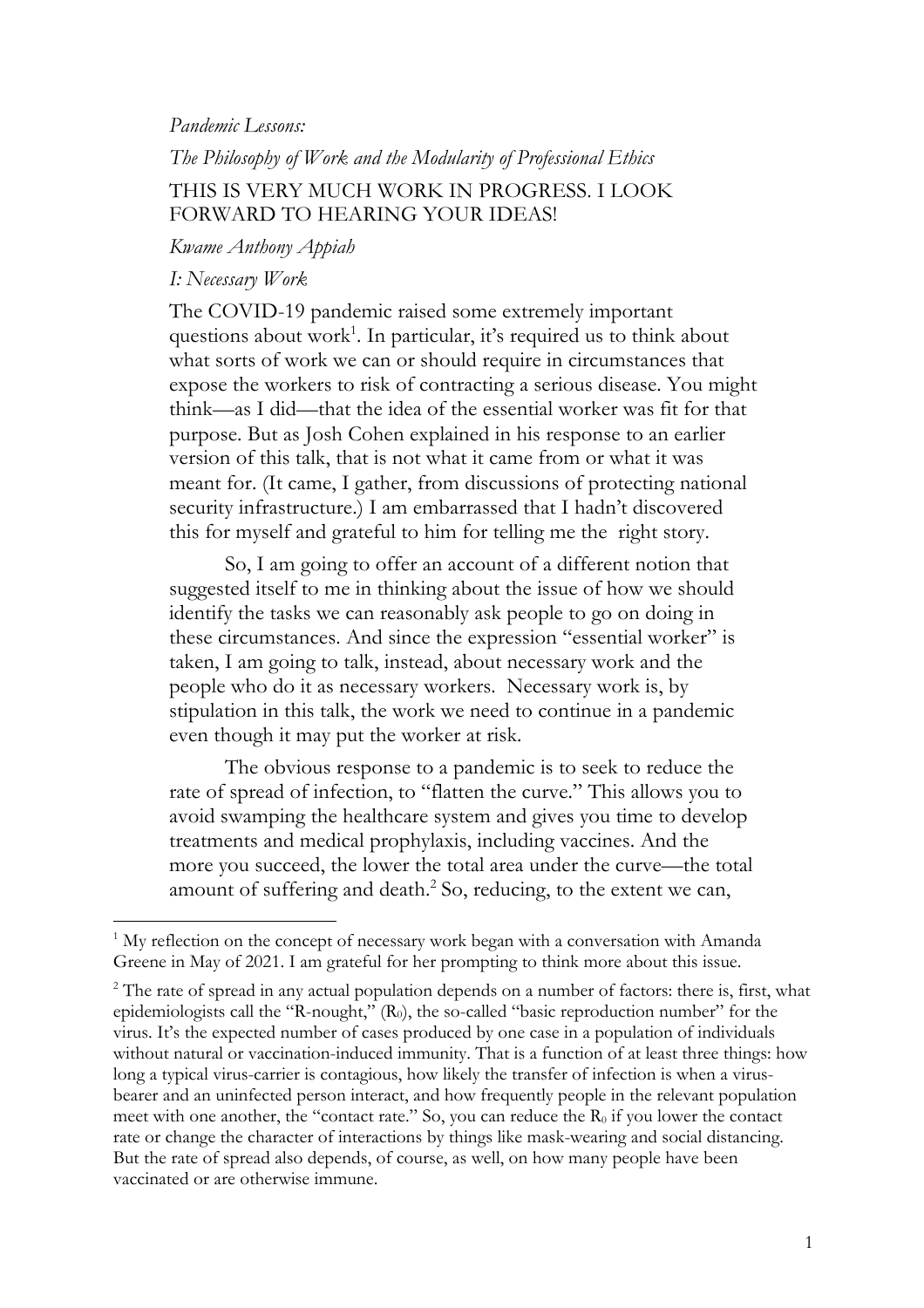## *Pandemic Lessons:*

## *The Philosophy of Work and the Modularity of Professional Ethics* THIS IS VERY MUCH WORK IN PROGRESS. I LOOK FORWARD TO HEARING YOUR IDEAS!

*Kwame Anthony Appiah*

## *I: Necessary Work*

The COVID-19 pandemic raised some extremely important questions about work<sup>1</sup>. In particular, it's required us to think about what sorts of work we can or should require in circumstances that expose the workers to risk of contracting a serious disease. You might think—as I did—that the idea of the essential worker was fit for that purpose. But as Josh Cohen explained in his response to an earlier version of this talk, that is not what it came from or what it was meant for. (It came, I gather, from discussions of protecting national security infrastructure.) I am embarrassed that I hadn't discovered this for myself and grateful to him for telling me the right story.

So, I am going to offer an account of a different notion that suggested itself to me in thinking about the issue of how we should identify the tasks we can reasonably ask people to go on doing in these circumstances. And since the expression "essential worker" is taken, I am going to talk, instead, about necessary work and the people who do it as necessary workers. Necessary work is, by stipulation in this talk, the work we need to continue in a pandemic even though it may put the worker at risk.

The obvious response to a pandemic is to seek to reduce the rate of spread of infection, to "flatten the curve." This allows you to avoid swamping the healthcare system and gives you time to develop treatments and medical prophylaxis, including vaccines. And the more you succeed, the lower the total area under the curve—the total amount of suffering and death.<sup>2</sup> So, reducing, to the extent we can,

<sup>&</sup>lt;sup>1</sup> My reflection on the concept of necessary work began with a conversation with Amanda Greene in May of 2021. I am grateful for her prompting to think more about this issue.

<sup>&</sup>lt;sup>2</sup> The rate of spread in any actual population depends on a number of factors: there is, first, what epidemiologists call the "R-nought," (R<sub>0</sub>), the so-called "basic reproduction number" for the virus. It's the expected number of cases produced by one case in a population of individuals without natural or vaccination-induced immunity. That is a function of at least three things: how long a typical virus-carrier is contagious, how likely the transfer of infection is when a virusbearer and an uninfected person interact, and how frequently people in the relevant population meet with one another, the "contact rate." So, you can reduce the  $R_0$  if you lower the contact rate or change the character of interactions by things like mask-wearing and social distancing. But the rate of spread also depends, of course, as well, on how many people have been vaccinated or are otherwise immune.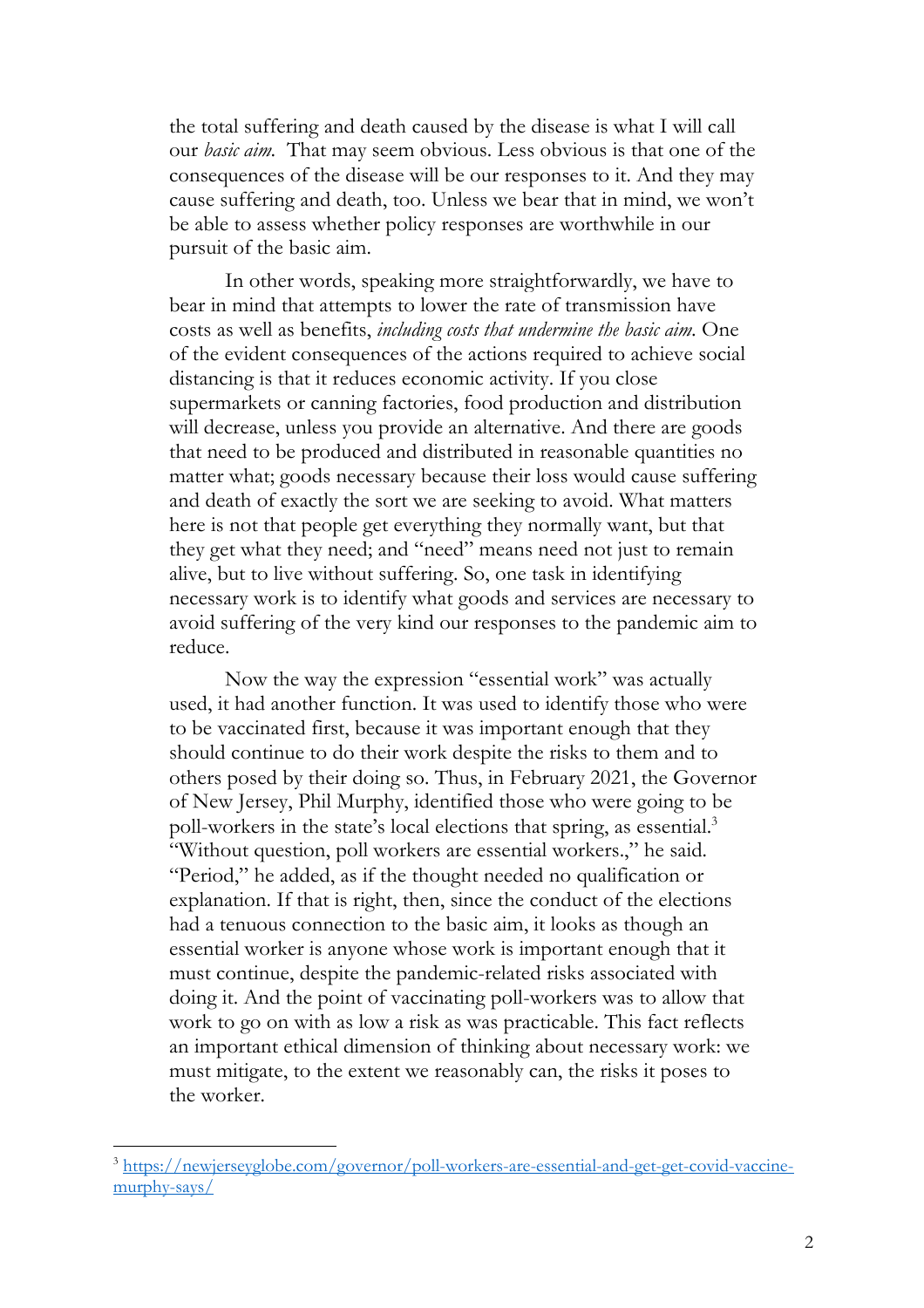the total suffering and death caused by the disease is what I will call our *basic aim.* That may seem obvious. Less obvious is that one of the consequences of the disease will be our responses to it. And they may cause suffering and death, too. Unless we bear that in mind, we won't be able to assess whether policy responses are worthwhile in our pursuit of the basic aim.

In other words, speaking more straightforwardly, we have to bear in mind that attempts to lower the rate of transmission have costs as well as benefits, *including costs that undermine the basic aim.* One of the evident consequences of the actions required to achieve social distancing is that it reduces economic activity. If you close supermarkets or canning factories, food production and distribution will decrease, unless you provide an alternative. And there are goods that need to be produced and distributed in reasonable quantities no matter what; goods necessary because their loss would cause suffering and death of exactly the sort we are seeking to avoid. What matters here is not that people get everything they normally want, but that they get what they need; and "need" means need not just to remain alive, but to live without suffering. So, one task in identifying necessary work is to identify what goods and services are necessary to avoid suffering of the very kind our responses to the pandemic aim to reduce.

Now the way the expression "essential work" was actually used, it had another function. It was used to identify those who were to be vaccinated first, because it was important enough that they should continue to do their work despite the risks to them and to others posed by their doing so. Thus, in February 2021, the Governor of New Jersey, Phil Murphy, identified those who were going to be poll-workers in the state's local elections that spring, as essential.<sup>3</sup> "Without question, poll workers are essential workers.," he said. "Period," he added, as if the thought needed no qualification or explanation. If that is right, then, since the conduct of the elections had a tenuous connection to the basic aim, it looks as though an essential worker is anyone whose work is important enough that it must continue, despite the pandemic-related risks associated with doing it. And the point of vaccinating poll-workers was to allow that work to go on with as low a risk as was practicable. This fact reflects an important ethical dimension of thinking about necessary work: we must mitigate, to the extent we reasonably can, the risks it poses to the worker.

<sup>3</sup> https://newjerseyglobe.com/governor/poll-workers-are-essential-and-get-get-covid-vaccinemurphy-says/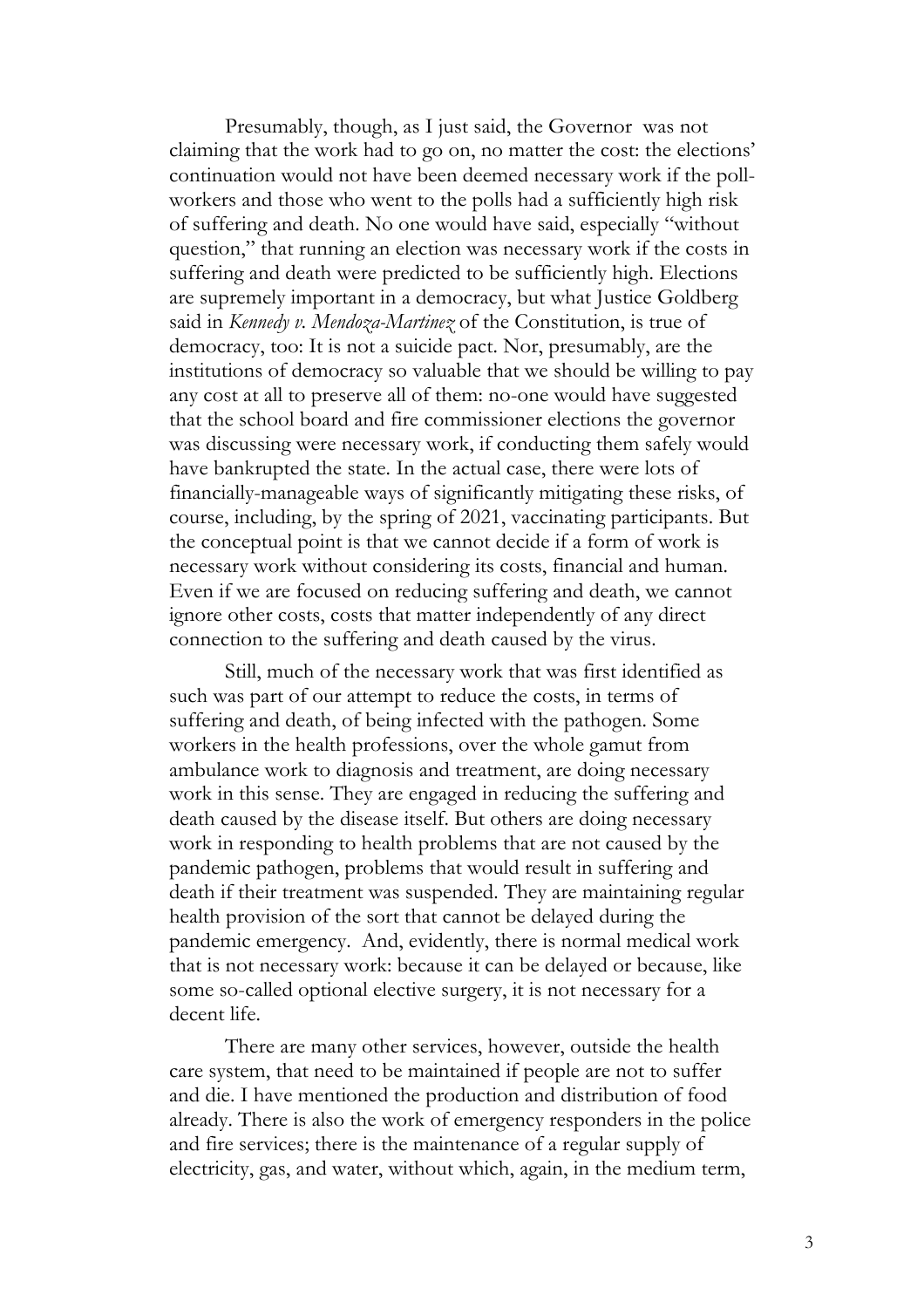Presumably, though, as I just said, the Governor was not claiming that the work had to go on, no matter the cost: the elections' continuation would not have been deemed necessary work if the pollworkers and those who went to the polls had a sufficiently high risk of suffering and death. No one would have said, especially "without question," that running an election was necessary work if the costs in suffering and death were predicted to be sufficiently high. Elections are supremely important in a democracy, but what Justice Goldberg said in *Kennedy v. Mendoza-Martinez* of the Constitution, is true of democracy, too: It is not a suicide pact. Nor, presumably, are the institutions of democracy so valuable that we should be willing to pay any cost at all to preserve all of them: no-one would have suggested that the school board and fire commissioner elections the governor was discussing were necessary work, if conducting them safely would have bankrupted the state. In the actual case, there were lots of financially-manageable ways of significantly mitigating these risks, of course, including, by the spring of 2021, vaccinating participants. But the conceptual point is that we cannot decide if a form of work is necessary work without considering its costs, financial and human. Even if we are focused on reducing suffering and death, we cannot ignore other costs, costs that matter independently of any direct connection to the suffering and death caused by the virus.

Still, much of the necessary work that was first identified as such was part of our attempt to reduce the costs, in terms of suffering and death, of being infected with the pathogen. Some workers in the health professions, over the whole gamut from ambulance work to diagnosis and treatment, are doing necessary work in this sense. They are engaged in reducing the suffering and death caused by the disease itself. But others are doing necessary work in responding to health problems that are not caused by the pandemic pathogen, problems that would result in suffering and death if their treatment was suspended. They are maintaining regular health provision of the sort that cannot be delayed during the pandemic emergency. And, evidently, there is normal medical work that is not necessary work: because it can be delayed or because, like some so-called optional elective surgery, it is not necessary for a decent life.

There are many other services, however, outside the health care system, that need to be maintained if people are not to suffer and die. I have mentioned the production and distribution of food already. There is also the work of emergency responders in the police and fire services; there is the maintenance of a regular supply of electricity, gas, and water, without which, again, in the medium term,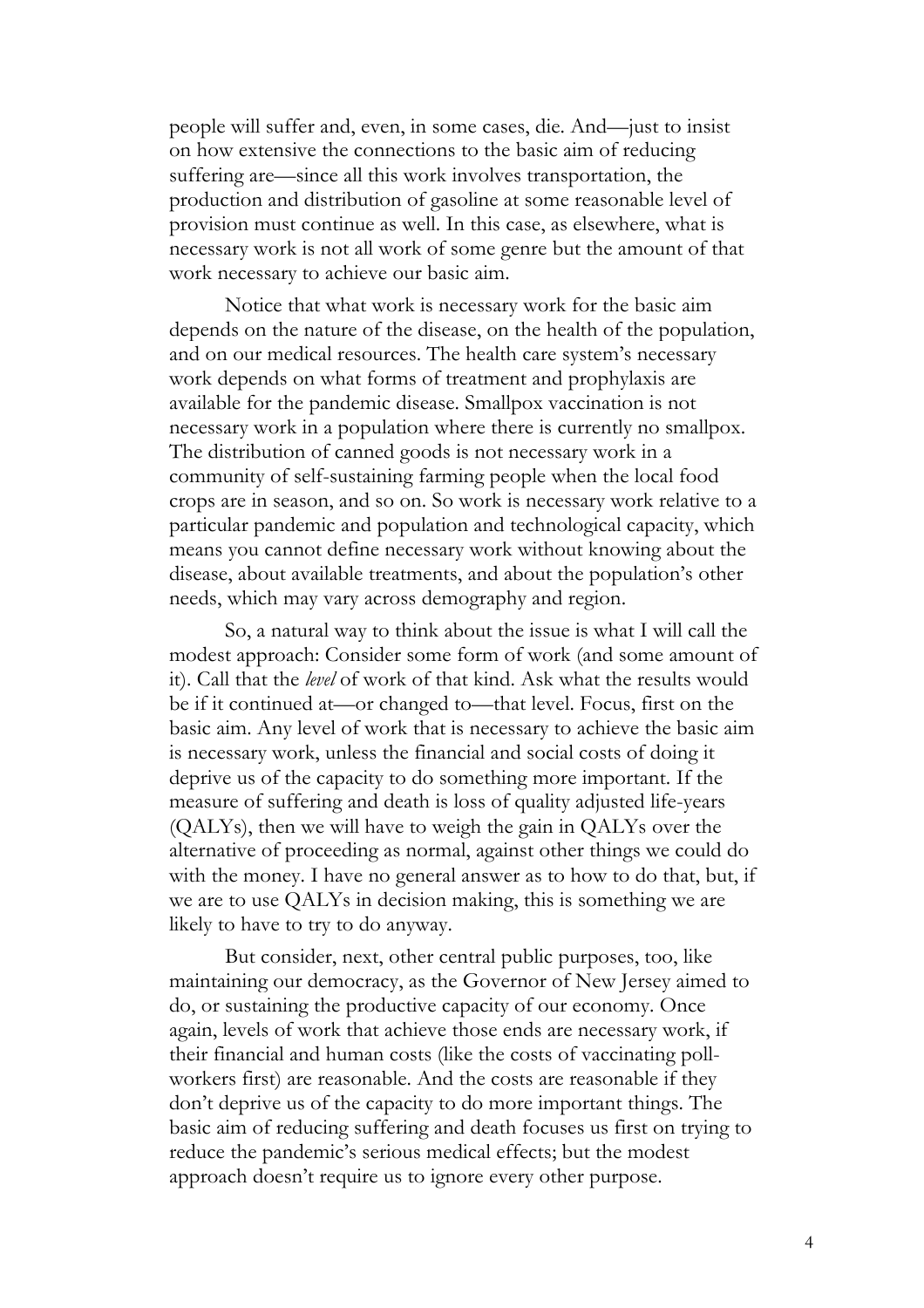people will suffer and, even, in some cases, die. And—just to insist on how extensive the connections to the basic aim of reducing suffering are—since all this work involves transportation, the production and distribution of gasoline at some reasonable level of provision must continue as well. In this case, as elsewhere, what is necessary work is not all work of some genre but the amount of that work necessary to achieve our basic aim.

Notice that what work is necessary work for the basic aim depends on the nature of the disease, on the health of the population, and on our medical resources. The health care system's necessary work depends on what forms of treatment and prophylaxis are available for the pandemic disease. Smallpox vaccination is not necessary work in a population where there is currently no smallpox. The distribution of canned goods is not necessary work in a community of self-sustaining farming people when the local food crops are in season, and so on. So work is necessary work relative to a particular pandemic and population and technological capacity, which means you cannot define necessary work without knowing about the disease, about available treatments, and about the population's other needs, which may vary across demography and region.

So, a natural way to think about the issue is what I will call the modest approach: Consider some form of work (and some amount of it). Call that the *level* of work of that kind. Ask what the results would be if it continued at—or changed to—that level. Focus, first on the basic aim. Any level of work that is necessary to achieve the basic aim is necessary work, unless the financial and social costs of doing it deprive us of the capacity to do something more important. If the measure of suffering and death is loss of quality adjusted life-years (QALYs), then we will have to weigh the gain in QALYs over the alternative of proceeding as normal, against other things we could do with the money. I have no general answer as to how to do that, but, if we are to use QALYs in decision making, this is something we are likely to have to try to do anyway.

But consider, next, other central public purposes, too, like maintaining our democracy, as the Governor of New Jersey aimed to do, or sustaining the productive capacity of our economy. Once again, levels of work that achieve those ends are necessary work, if their financial and human costs (like the costs of vaccinating pollworkers first) are reasonable. And the costs are reasonable if they don't deprive us of the capacity to do more important things. The basic aim of reducing suffering and death focuses us first on trying to reduce the pandemic's serious medical effects; but the modest approach doesn't require us to ignore every other purpose.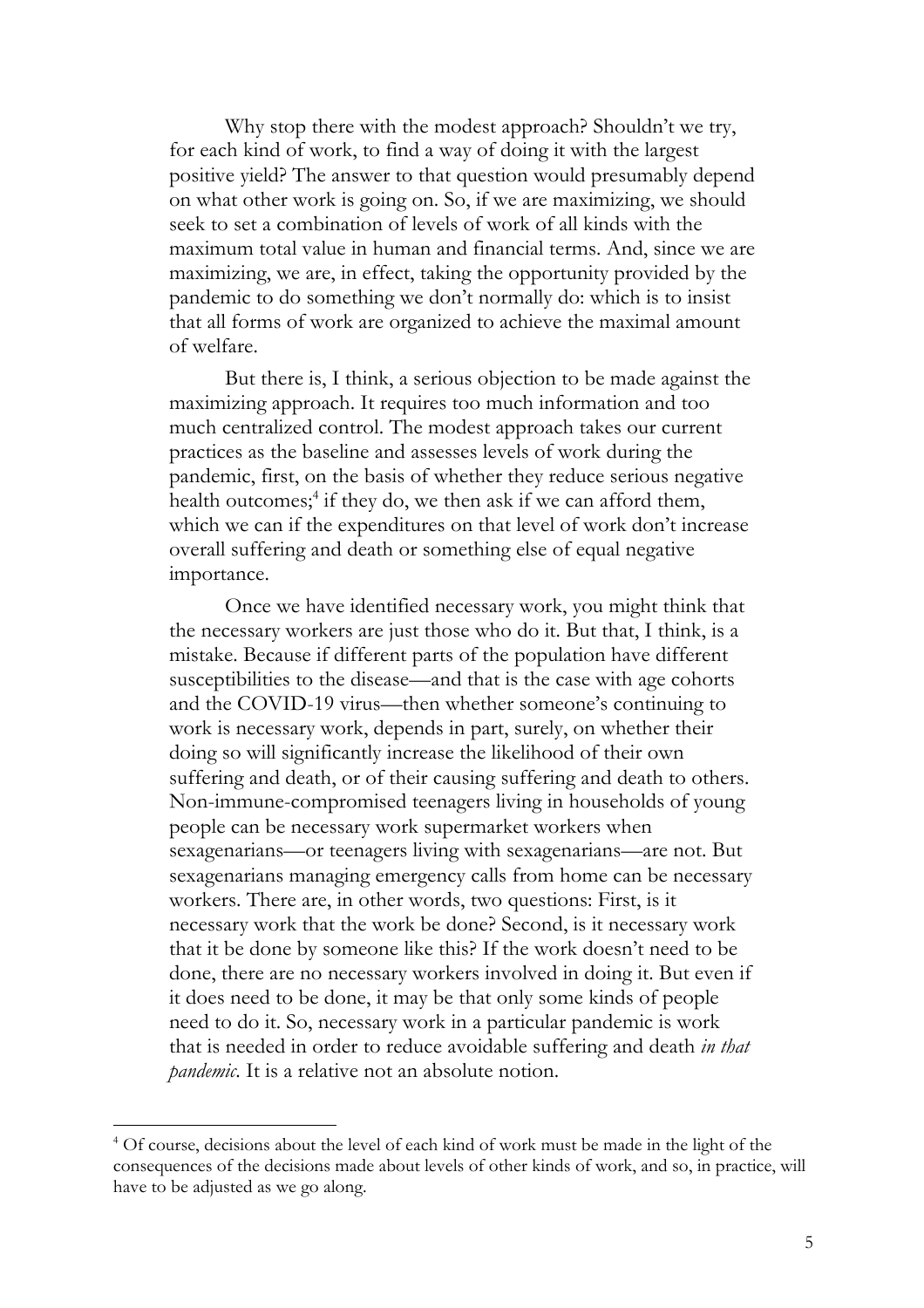Why stop there with the modest approach? Shouldn't we try, for each kind of work, to find a way of doing it with the largest positive yield? The answer to that question would presumably depend on what other work is going on. So, if we are maximizing, we should seek to set a combination of levels of work of all kinds with the maximum total value in human and financial terms. And, since we are maximizing, we are, in effect, taking the opportunity provided by the pandemic to do something we don't normally do: which is to insist that all forms of work are organized to achieve the maximal amount of welfare.

But there is, I think, a serious objection to be made against the maximizing approach. It requires too much information and too much centralized control. The modest approach takes our current practices as the baseline and assesses levels of work during the pandemic, first, on the basis of whether they reduce serious negative health outcomes;<sup>4</sup> if they do, we then ask if we can afford them, which we can if the expenditures on that level of work don't increase overall suffering and death or something else of equal negative importance.

Once we have identified necessary work, you might think that the necessary workers are just those who do it. But that, I think, is a mistake. Because if different parts of the population have different susceptibilities to the disease—and that is the case with age cohorts and the COVID-19 virus—then whether someone's continuing to work is necessary work, depends in part, surely, on whether their doing so will significantly increase the likelihood of their own suffering and death, or of their causing suffering and death to others. Non-immune-compromised teenagers living in households of young people can be necessary work supermarket workers when sexagenarians—or teenagers living with sexagenarians—are not. But sexagenarians managing emergency calls from home can be necessary workers. There are, in other words, two questions: First, is it necessary work that the work be done? Second, is it necessary work that it be done by someone like this? If the work doesn't need to be done, there are no necessary workers involved in doing it. But even if it does need to be done, it may be that only some kinds of people need to do it. So, necessary work in a particular pandemic is work that is needed in order to reduce avoidable suffering and death *in that pandemic*. It is a relative not an absolute notion.

<sup>&</sup>lt;sup>4</sup> Of course, decisions about the level of each kind of work must be made in the light of the consequences of the decisions made about levels of other kinds of work, and so, in practice, will have to be adjusted as we go along.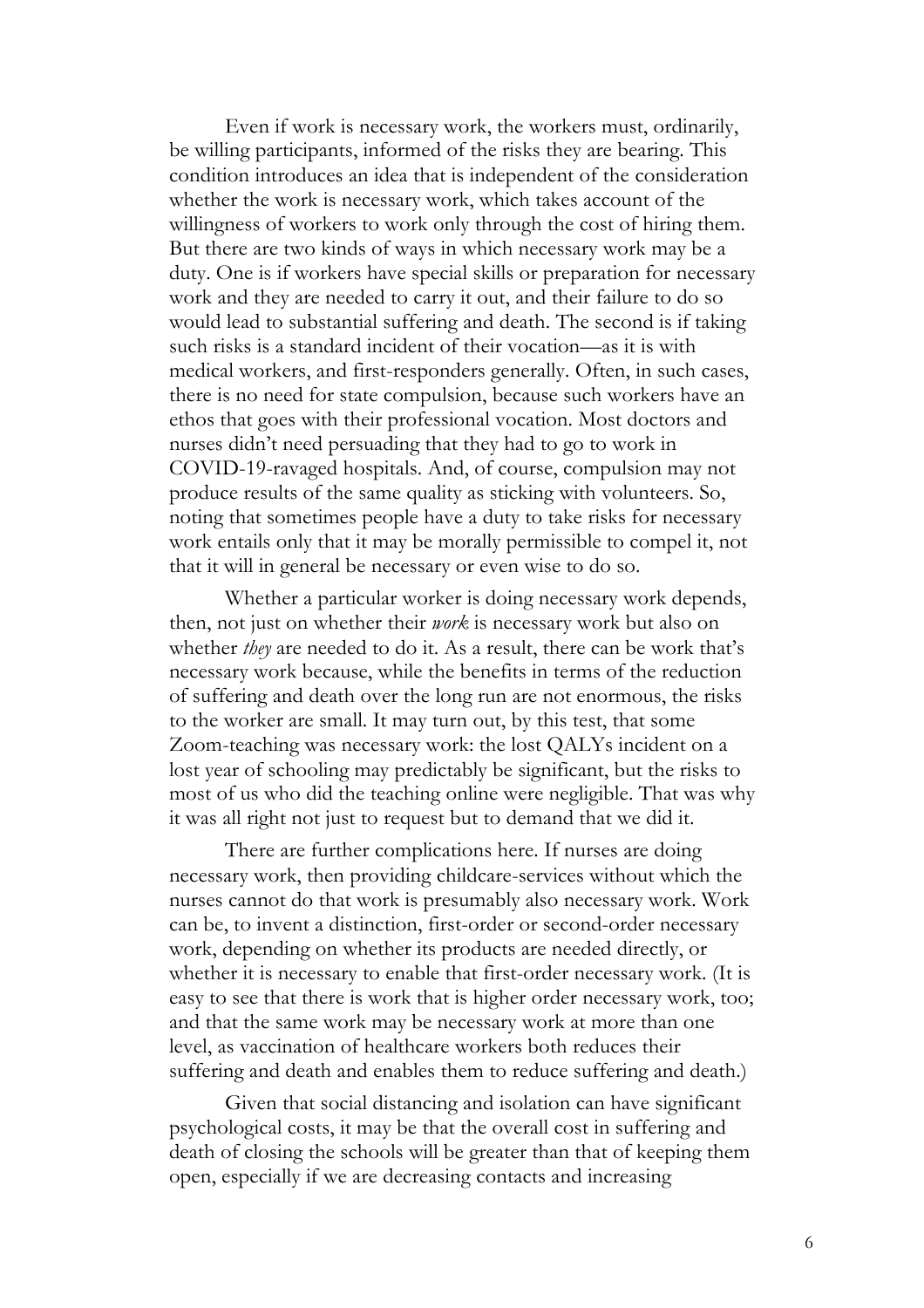Even if work is necessary work, the workers must, ordinarily, be willing participants, informed of the risks they are bearing. This condition introduces an idea that is independent of the consideration whether the work is necessary work, which takes account of the willingness of workers to work only through the cost of hiring them. But there are two kinds of ways in which necessary work may be a duty. One is if workers have special skills or preparation for necessary work and they are needed to carry it out, and their failure to do so would lead to substantial suffering and death. The second is if taking such risks is a standard incident of their vocation—as it is with medical workers, and first-responders generally. Often, in such cases, there is no need for state compulsion, because such workers have an ethos that goes with their professional vocation. Most doctors and nurses didn't need persuading that they had to go to work in COVID-19-ravaged hospitals. And, of course, compulsion may not produce results of the same quality as sticking with volunteers. So, noting that sometimes people have a duty to take risks for necessary work entails only that it may be morally permissible to compel it, not that it will in general be necessary or even wise to do so.

Whether a particular worker is doing necessary work depends, then, not just on whether their *work* is necessary work but also on whether *they* are needed to do it. As a result, there can be work that's necessary work because, while the benefits in terms of the reduction of suffering and death over the long run are not enormous, the risks to the worker are small. It may turn out, by this test, that some Zoom-teaching was necessary work: the lost QALYs incident on a lost year of schooling may predictably be significant, but the risks to most of us who did the teaching online were negligible. That was why it was all right not just to request but to demand that we did it.

There are further complications here. If nurses are doing necessary work, then providing childcare-services without which the nurses cannot do that work is presumably also necessary work. Work can be, to invent a distinction, first-order or second-order necessary work, depending on whether its products are needed directly, or whether it is necessary to enable that first-order necessary work. (It is easy to see that there is work that is higher order necessary work, too; and that the same work may be necessary work at more than one level, as vaccination of healthcare workers both reduces their suffering and death and enables them to reduce suffering and death.)

Given that social distancing and isolation can have significant psychological costs, it may be that the overall cost in suffering and death of closing the schools will be greater than that of keeping them open, especially if we are decreasing contacts and increasing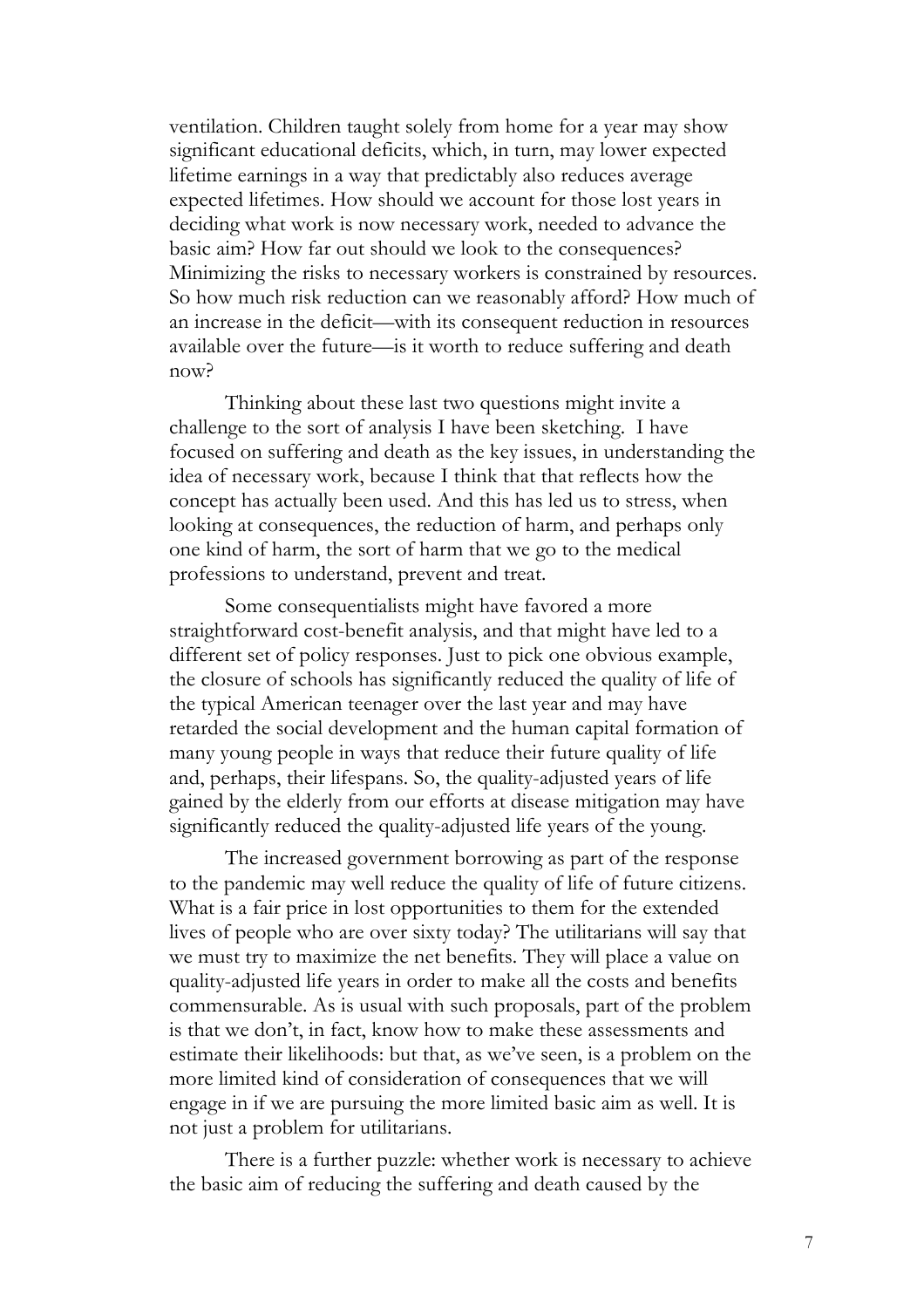ventilation. Children taught solely from home for a year may show significant educational deficits, which, in turn, may lower expected lifetime earnings in a way that predictably also reduces average expected lifetimes. How should we account for those lost years in deciding what work is now necessary work, needed to advance the basic aim? How far out should we look to the consequences? Minimizing the risks to necessary workers is constrained by resources. So how much risk reduction can we reasonably afford? How much of an increase in the deficit—with its consequent reduction in resources available over the future—is it worth to reduce suffering and death now?

Thinking about these last two questions might invite a challenge to the sort of analysis I have been sketching. I have focused on suffering and death as the key issues, in understanding the idea of necessary work, because I think that that reflects how the concept has actually been used. And this has led us to stress, when looking at consequences, the reduction of harm, and perhaps only one kind of harm, the sort of harm that we go to the medical professions to understand, prevent and treat.

Some consequentialists might have favored a more straightforward cost-benefit analysis, and that might have led to a different set of policy responses. Just to pick one obvious example, the closure of schools has significantly reduced the quality of life of the typical American teenager over the last year and may have retarded the social development and the human capital formation of many young people in ways that reduce their future quality of life and, perhaps, their lifespans. So, the quality-adjusted years of life gained by the elderly from our efforts at disease mitigation may have significantly reduced the quality-adjusted life years of the young.

The increased government borrowing as part of the response to the pandemic may well reduce the quality of life of future citizens. What is a fair price in lost opportunities to them for the extended lives of people who are over sixty today? The utilitarians will say that we must try to maximize the net benefits. They will place a value on quality-adjusted life years in order to make all the costs and benefits commensurable. As is usual with such proposals, part of the problem is that we don't, in fact, know how to make these assessments and estimate their likelihoods: but that, as we've seen, is a problem on the more limited kind of consideration of consequences that we will engage in if we are pursuing the more limited basic aim as well. It is not just a problem for utilitarians.

There is a further puzzle: whether work is necessary to achieve the basic aim of reducing the suffering and death caused by the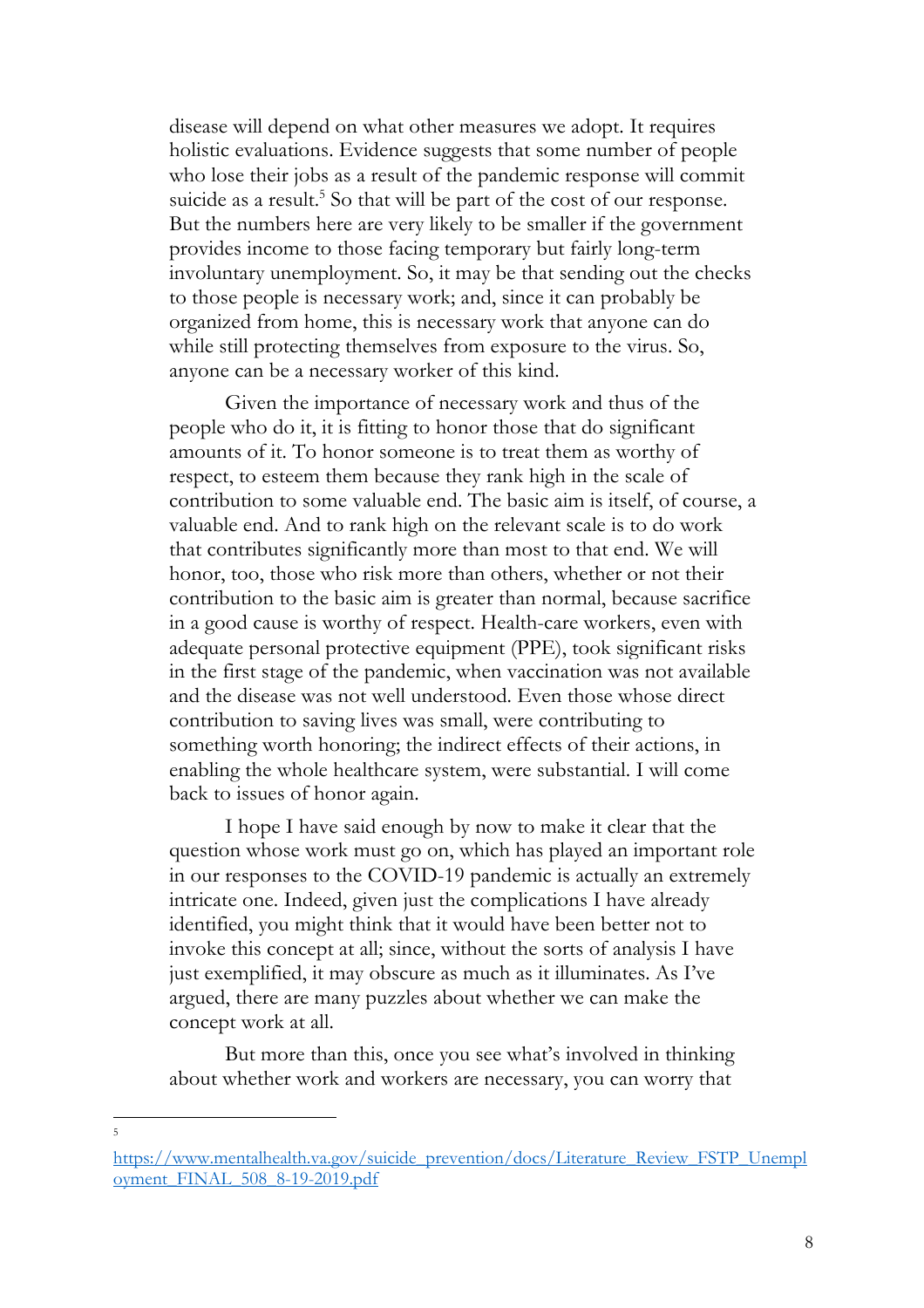disease will depend on what other measures we adopt. It requires holistic evaluations. Evidence suggests that some number of people who lose their jobs as a result of the pandemic response will commit suicide as a result.<sup>5</sup> So that will be part of the cost of our response. But the numbers here are very likely to be smaller if the government provides income to those facing temporary but fairly long-term involuntary unemployment. So, it may be that sending out the checks to those people is necessary work; and, since it can probably be organized from home, this is necessary work that anyone can do while still protecting themselves from exposure to the virus. So, anyone can be a necessary worker of this kind.

Given the importance of necessary work and thus of the people who do it, it is fitting to honor those that do significant amounts of it. To honor someone is to treat them as worthy of respect, to esteem them because they rank high in the scale of contribution to some valuable end. The basic aim is itself, of course, a valuable end. And to rank high on the relevant scale is to do work that contributes significantly more than most to that end. We will honor, too, those who risk more than others, whether or not their contribution to the basic aim is greater than normal, because sacrifice in a good cause is worthy of respect. Health-care workers, even with adequate personal protective equipment (PPE), took significant risks in the first stage of the pandemic, when vaccination was not available and the disease was not well understood. Even those whose direct contribution to saving lives was small, were contributing to something worth honoring; the indirect effects of their actions, in enabling the whole healthcare system, were substantial. I will come back to issues of honor again.

I hope I have said enough by now to make it clear that the question whose work must go on, which has played an important role in our responses to the COVID-19 pandemic is actually an extremely intricate one. Indeed, given just the complications I have already identified, you might think that it would have been better not to invoke this concept at all; since, without the sorts of analysis I have just exemplified, it may obscure as much as it illuminates. As I've argued, there are many puzzles about whether we can make the concept work at all.

But more than this, once you see what's involved in thinking about whether work and workers are necessary, you can worry that

5

https://www.mentalhealth.va.gov/suicide\_prevention/docs/Literature\_Review\_FSTP\_Unempl oyment\_FINAL\_508\_8-19-2019.pdf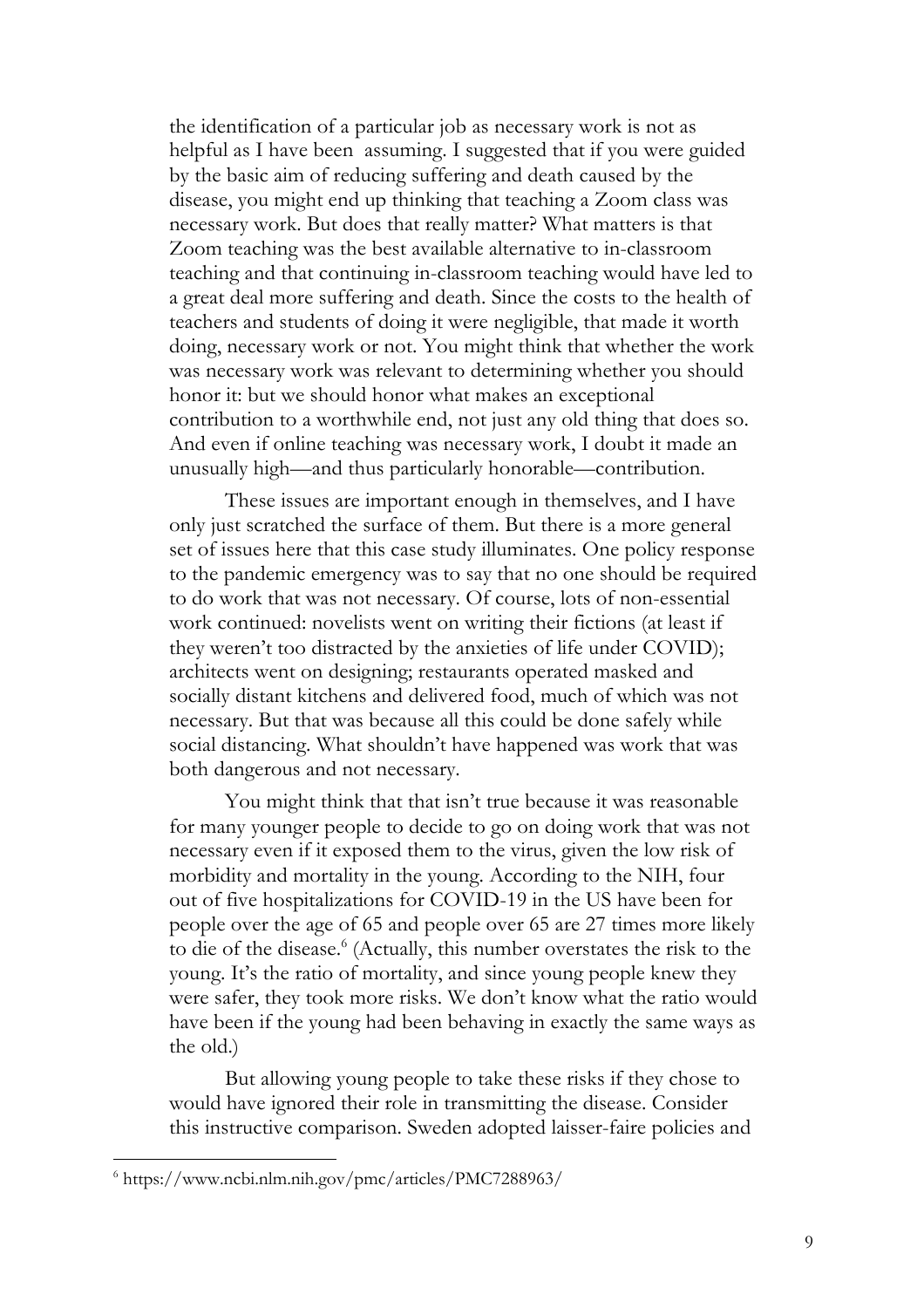the identification of a particular job as necessary work is not as helpful as I have been assuming. I suggested that if you were guided by the basic aim of reducing suffering and death caused by the disease, you might end up thinking that teaching a Zoom class was necessary work. But does that really matter? What matters is that Zoom teaching was the best available alternative to in-classroom teaching and that continuing in-classroom teaching would have led to a great deal more suffering and death. Since the costs to the health of teachers and students of doing it were negligible, that made it worth doing, necessary work or not. You might think that whether the work was necessary work was relevant to determining whether you should honor it: but we should honor what makes an exceptional contribution to a worthwhile end, not just any old thing that does so. And even if online teaching was necessary work, I doubt it made an unusually high—and thus particularly honorable—contribution.

These issues are important enough in themselves, and I have only just scratched the surface of them. But there is a more general set of issues here that this case study illuminates. One policy response to the pandemic emergency was to say that no one should be required to do work that was not necessary. Of course, lots of non-essential work continued: novelists went on writing their fictions (at least if they weren't too distracted by the anxieties of life under COVID); architects went on designing; restaurants operated masked and socially distant kitchens and delivered food, much of which was not necessary. But that was because all this could be done safely while social distancing. What shouldn't have happened was work that was both dangerous and not necessary.

You might think that that isn't true because it was reasonable for many younger people to decide to go on doing work that was not necessary even if it exposed them to the virus, given the low risk of morbidity and mortality in the young. According to the NIH, four out of five hospitalizations for COVID-19 in the US have been for people over the age of 65 and people over 65 are 27 times more likely to die of the disease.<sup>6</sup> (Actually, this number overstates the risk to the young. It's the ratio of mortality, and since young people knew they were safer, they took more risks. We don't know what the ratio would have been if the young had been behaving in exactly the same ways as the old.)

But allowing young people to take these risks if they chose to would have ignored their role in transmitting the disease. Consider this instructive comparison. Sweden adopted laisser-faire policies and

<sup>6</sup> https://www.ncbi.nlm.nih.gov/pmc/articles/PMC7288963/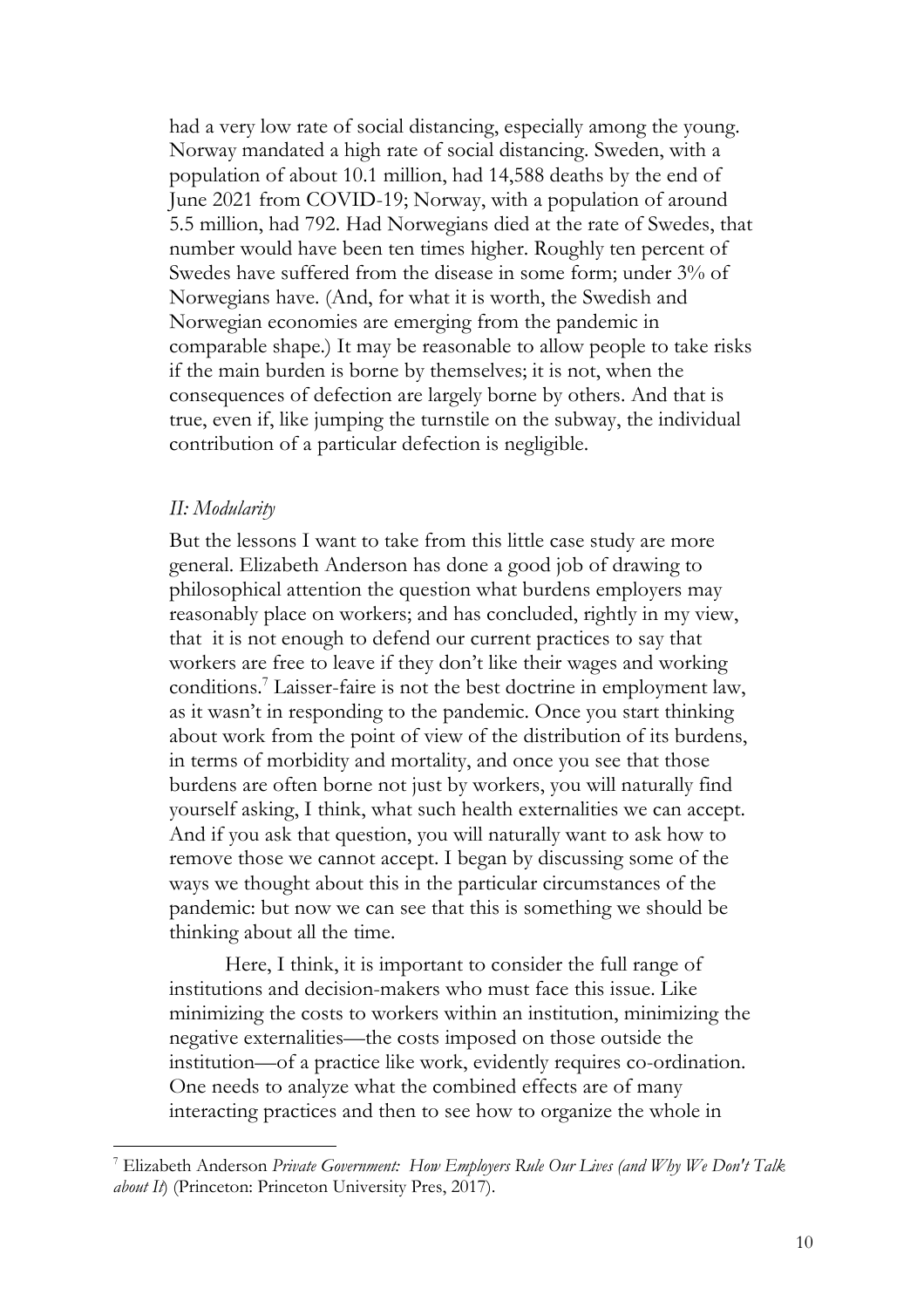had a very low rate of social distancing, especially among the young. Norway mandated a high rate of social distancing. Sweden, with a population of about 10.1 million, had 14,588 deaths by the end of June 2021 from COVID-19; Norway, with a population of around 5.5 million, had 792. Had Norwegians died at the rate of Swedes, that number would have been ten times higher. Roughly ten percent of Swedes have suffered from the disease in some form; under  $3\%$  of Norwegians have. (And, for what it is worth, the Swedish and Norwegian economies are emerging from the pandemic in comparable shape.) It may be reasonable to allow people to take risks if the main burden is borne by themselves; it is not, when the consequences of defection are largely borne by others. And that is true, even if, like jumping the turnstile on the subway, the individual contribution of a particular defection is negligible.

## *II: Modularity*

But the lessons I want to take from this little case study are more general. Elizabeth Anderson has done a good job of drawing to philosophical attention the question what burdens employers may reasonably place on workers; and has concluded, rightly in my view, that it is not enough to defend our current practices to say that workers are free to leave if they don't like their wages and working conditions.7 Laisser-faire is not the best doctrine in employment law, as it wasn't in responding to the pandemic. Once you start thinking about work from the point of view of the distribution of its burdens, in terms of morbidity and mortality, and once you see that those burdens are often borne not just by workers, you will naturally find yourself asking, I think, what such health externalities we can accept. And if you ask that question, you will naturally want to ask how to remove those we cannot accept. I began by discussing some of the ways we thought about this in the particular circumstances of the pandemic: but now we can see that this is something we should be thinking about all the time.

Here, I think, it is important to consider the full range of institutions and decision-makers who must face this issue. Like minimizing the costs to workers within an institution, minimizing the negative externalities—the costs imposed on those outside the institution—of a practice like work, evidently requires co-ordination. One needs to analyze what the combined effects are of many interacting practices and then to see how to organize the whole in

<sup>7</sup> Elizabeth Anderson *Private Government: How Employers Rule Our Lives (and Why We Don't Talk about It*) (Princeton: Princeton University Pres, 2017).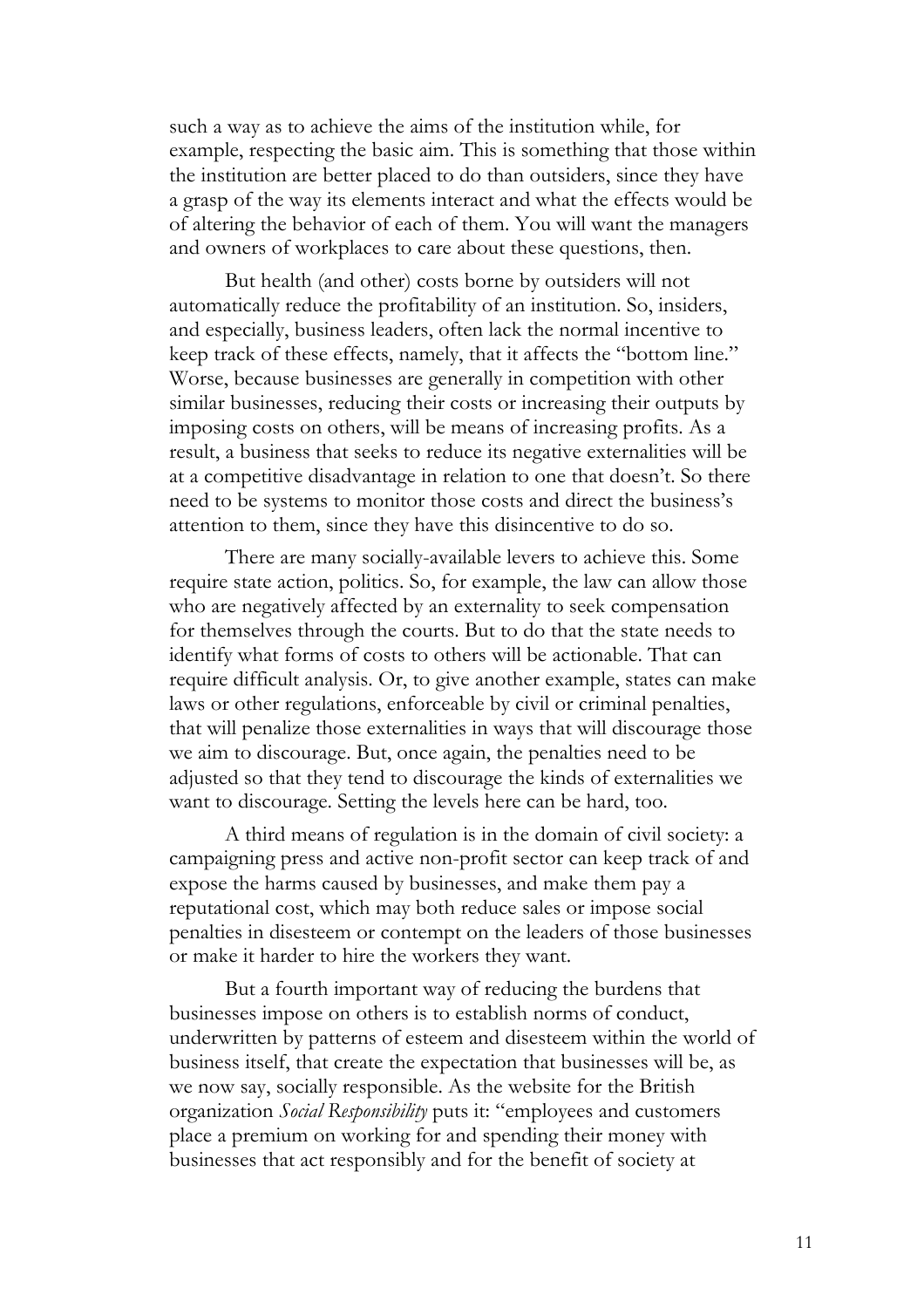such a way as to achieve the aims of the institution while, for example, respecting the basic aim. This is something that those within the institution are better placed to do than outsiders, since they have a grasp of the way its elements interact and what the effects would be of altering the behavior of each of them. You will want the managers and owners of workplaces to care about these questions, then.

But health (and other) costs borne by outsiders will not automatically reduce the profitability of an institution. So, insiders, and especially, business leaders, often lack the normal incentive to keep track of these effects, namely, that it affects the "bottom line." Worse, because businesses are generally in competition with other similar businesses, reducing their costs or increasing their outputs by imposing costs on others, will be means of increasing profits. As a result, a business that seeks to reduce its negative externalities will be at a competitive disadvantage in relation to one that doesn't. So there need to be systems to monitor those costs and direct the business's attention to them, since they have this disincentive to do so.

There are many socially-available levers to achieve this. Some require state action, politics. So, for example, the law can allow those who are negatively affected by an externality to seek compensation for themselves through the courts. But to do that the state needs to identify what forms of costs to others will be actionable. That can require difficult analysis. Or, to give another example, states can make laws or other regulations, enforceable by civil or criminal penalties, that will penalize those externalities in ways that will discourage those we aim to discourage. But, once again, the penalties need to be adjusted so that they tend to discourage the kinds of externalities we want to discourage. Setting the levels here can be hard, too.

A third means of regulation is in the domain of civil society: a campaigning press and active non-profit sector can keep track of and expose the harms caused by businesses, and make them pay a reputational cost, which may both reduce sales or impose social penalties in disesteem or contempt on the leaders of those businesses or make it harder to hire the workers they want.

But a fourth important way of reducing the burdens that businesses impose on others is to establish norms of conduct, underwritten by patterns of esteem and disesteem within the world of business itself, that create the expectation that businesses will be, as we now say, socially responsible. As the website for the British organization *Social Responsibility* puts it: "employees and customers place a premium on working for and spending their money with businesses that act responsibly and for the benefit of society at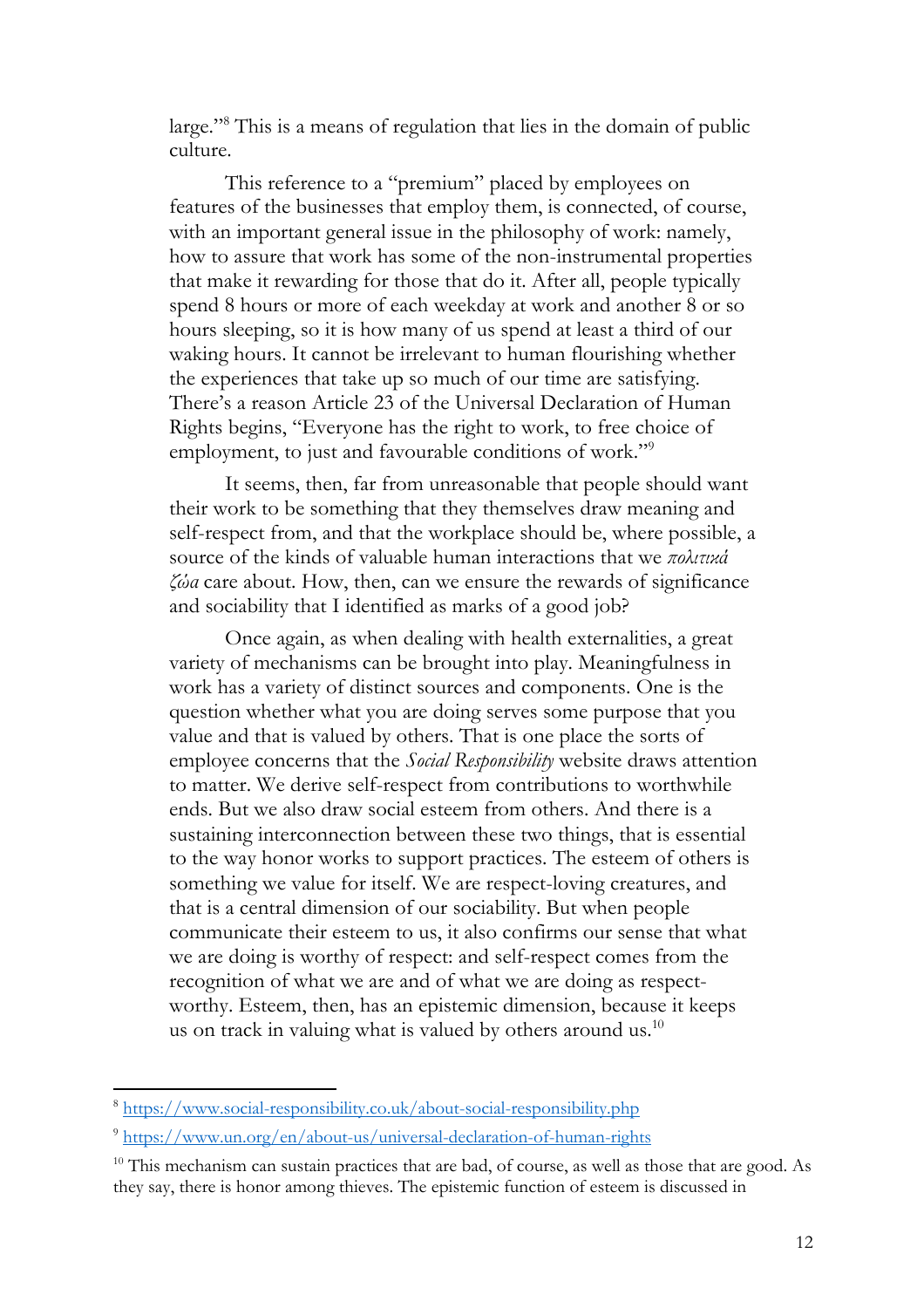large."8 This is a means of regulation that lies in the domain of public culture.

This reference to a "premium" placed by employees on features of the businesses that employ them, is connected, of course, with an important general issue in the philosophy of work: namely, how to assure that work has some of the non-instrumental properties that make it rewarding for those that do it. After all, people typically spend 8 hours or more of each weekday at work and another 8 or so hours sleeping, so it is how many of us spend at least a third of our waking hours. It cannot be irrelevant to human flourishing whether the experiences that take up so much of our time are satisfying. There's a reason Article 23 of the Universal Declaration of Human Rights begins, "Everyone has the right to work, to free choice of employment, to just and favourable conditions of work."9

It seems, then, far from unreasonable that people should want their work to be something that they themselves draw meaning and self-respect from, and that the workplace should be, where possible, a source of the kinds of valuable human interactions that we *πολιτικά ζώα* care about. How, then, can we ensure the rewards of significance and sociability that I identified as marks of a good job?

Once again, as when dealing with health externalities, a great variety of mechanisms can be brought into play. Meaningfulness in work has a variety of distinct sources and components. One is the question whether what you are doing serves some purpose that you value and that is valued by others. That is one place the sorts of employee concerns that the *Social Responsibility* website draws attention to matter. We derive self-respect from contributions to worthwhile ends. But we also draw social esteem from others. And there is a sustaining interconnection between these two things, that is essential to the way honor works to support practices. The esteem of others is something we value for itself. We are respect-loving creatures, and that is a central dimension of our sociability. But when people communicate their esteem to us, it also confirms our sense that what we are doing is worthy of respect: and self-respect comes from the recognition of what we are and of what we are doing as respectworthy. Esteem, then, has an epistemic dimension, because it keeps us on track in valuing what is valued by others around us. $^{10}$ 

<sup>8</sup> https://www.social-responsibility.co.uk/about-social-responsibility.php

<sup>9</sup> https://www.un.org/en/about-us/universal-declaration-of-human-rights

<sup>&</sup>lt;sup>10</sup> This mechanism can sustain practices that are bad, of course, as well as those that are good. As they say, there is honor among thieves. The epistemic function of esteem is discussed in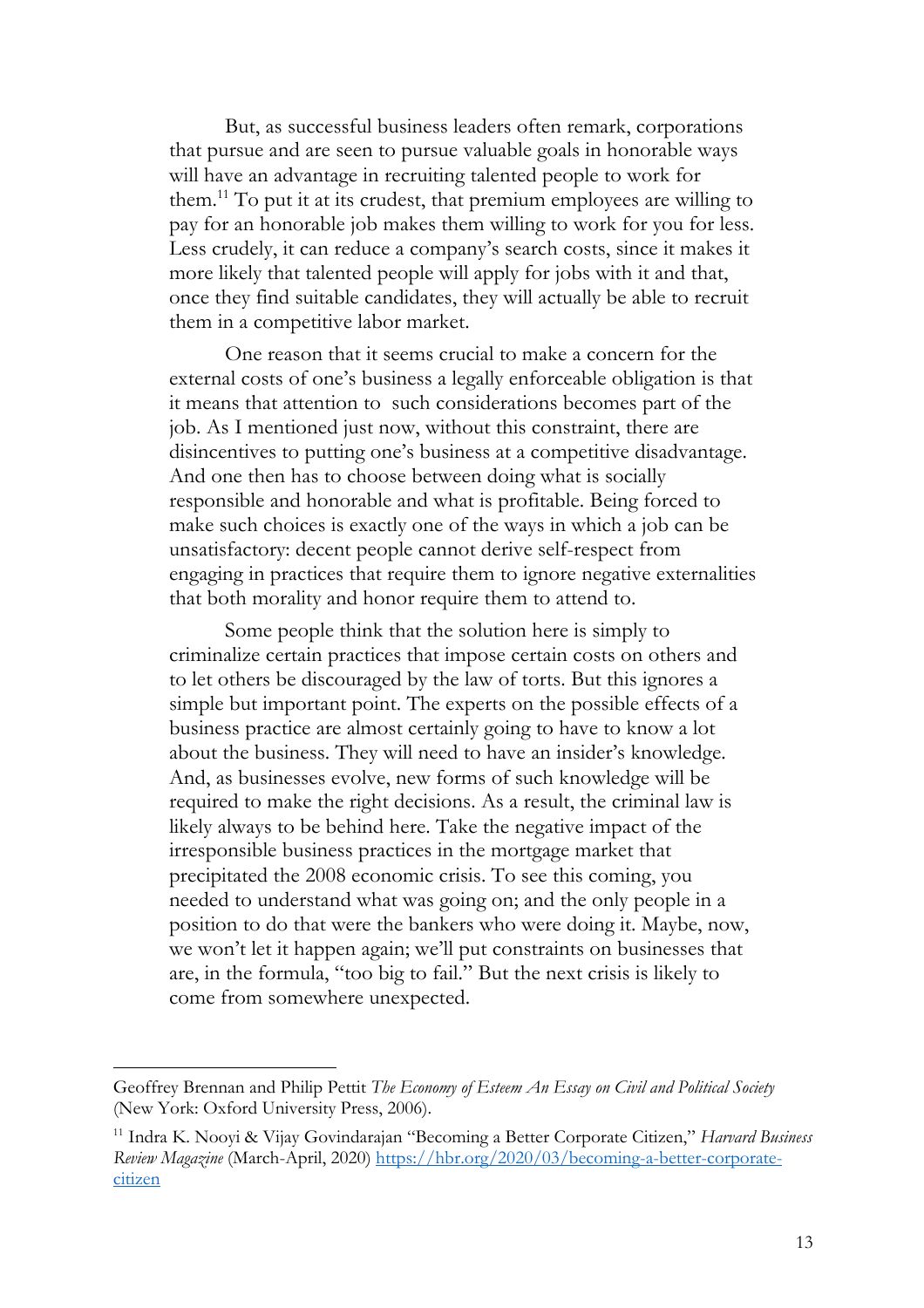But, as successful business leaders often remark, corporations that pursue and are seen to pursue valuable goals in honorable ways will have an advantage in recruiting talented people to work for them.11 To put it at its crudest, that premium employees are willing to pay for an honorable job makes them willing to work for you for less. Less crudely, it can reduce a company's search costs, since it makes it more likely that talented people will apply for jobs with it and that, once they find suitable candidates, they will actually be able to recruit them in a competitive labor market.

One reason that it seems crucial to make a concern for the external costs of one's business a legally enforceable obligation is that it means that attention to such considerations becomes part of the job. As I mentioned just now, without this constraint, there are disincentives to putting one's business at a competitive disadvantage. And one then has to choose between doing what is socially responsible and honorable and what is profitable. Being forced to make such choices is exactly one of the ways in which a job can be unsatisfactory: decent people cannot derive self-respect from engaging in practices that require them to ignore negative externalities that both morality and honor require them to attend to.

Some people think that the solution here is simply to criminalize certain practices that impose certain costs on others and to let others be discouraged by the law of torts. But this ignores a simple but important point. The experts on the possible effects of a business practice are almost certainly going to have to know a lot about the business. They will need to have an insider's knowledge. And, as businesses evolve, new forms of such knowledge will be required to make the right decisions. As a result, the criminal law is likely always to be behind here. Take the negative impact of the irresponsible business practices in the mortgage market that precipitated the 2008 economic crisis. To see this coming, you needed to understand what was going on; and the only people in a position to do that were the bankers who were doing it. Maybe, now, we won't let it happen again; we'll put constraints on businesses that are, in the formula, "too big to fail." But the next crisis is likely to come from somewhere unexpected.

Geoffrey Brennan and Philip Pettit *The Economy of Esteem An Essay on Civil and Political Society*  (New York: Oxford University Press, 2006).

<sup>11</sup> Indra K. Nooyi & Vijay Govindarajan "Becoming a Better Corporate Citizen," *Harvard Business Review Magazine* (March-April, 2020) https://hbr.org/2020/03/becoming-a-better-corporatecitizen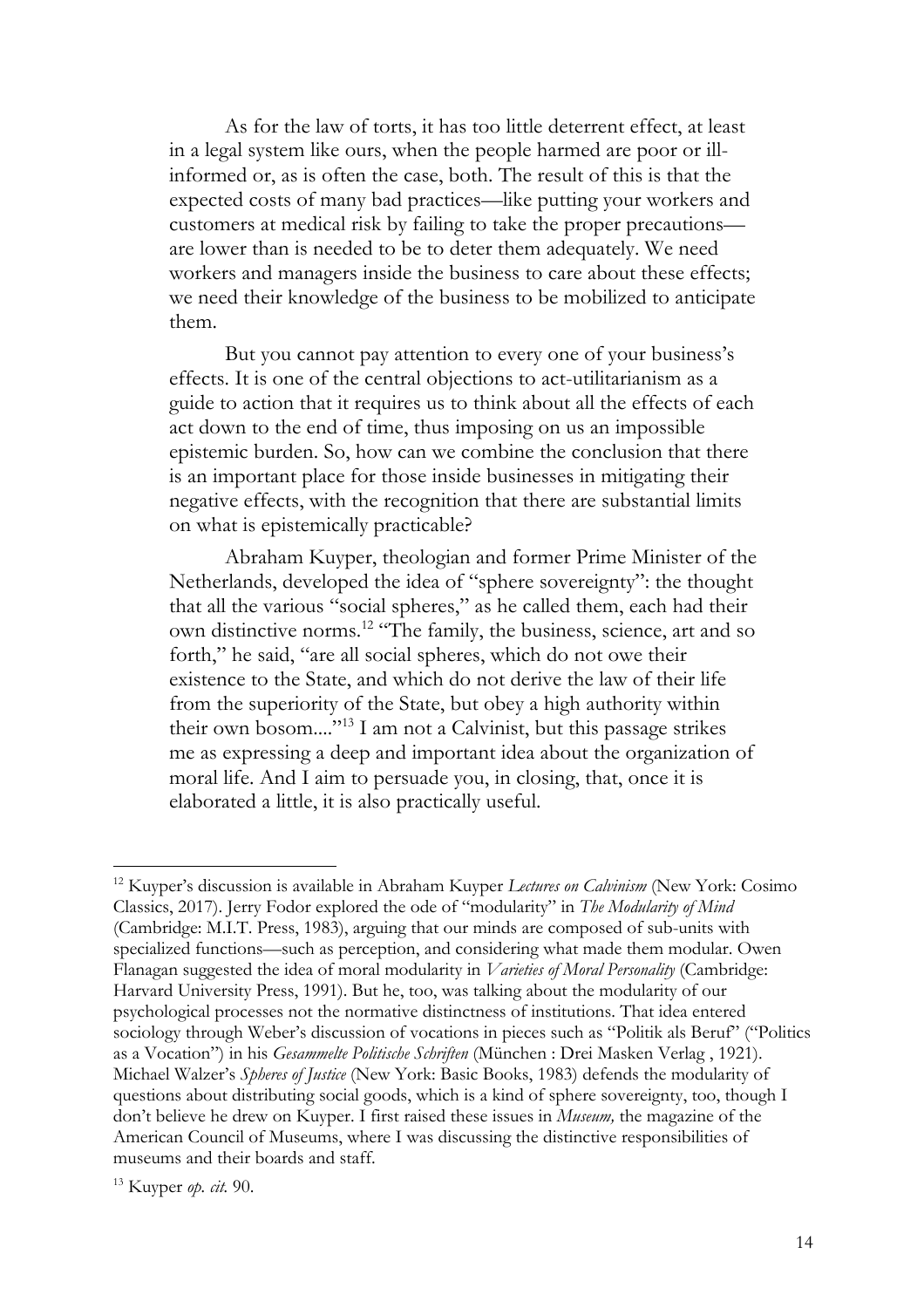As for the law of torts, it has too little deterrent effect, at least in a legal system like ours, when the people harmed are poor or illinformed or, as is often the case, both. The result of this is that the expected costs of many bad practices—like putting your workers and customers at medical risk by failing to take the proper precautions are lower than is needed to be to deter them adequately. We need workers and managers inside the business to care about these effects; we need their knowledge of the business to be mobilized to anticipate them.

But you cannot pay attention to every one of your business's effects. It is one of the central objections to act-utilitarianism as a guide to action that it requires us to think about all the effects of each act down to the end of time, thus imposing on us an impossible epistemic burden. So, how can we combine the conclusion that there is an important place for those inside businesses in mitigating their negative effects, with the recognition that there are substantial limits on what is epistemically practicable?

Abraham Kuyper, theologian and former Prime Minister of the Netherlands, developed the idea of "sphere sovereignty": the thought that all the various "social spheres," as he called them, each had their own distinctive norms.12 "The family, the business, science, art and so forth," he said, "are all social spheres, which do not owe their existence to the State, and which do not derive the law of their life from the superiority of the State, but obey a high authority within their own bosom...."13 I am not a Calvinist, but this passage strikes me as expressing a deep and important idea about the organization of moral life. And I aim to persuade you, in closing, that, once it is elaborated a little, it is also practically useful.

<sup>12</sup> Kuyper's discussion is available in Abraham Kuyper *Lectures on Calvinism* (New York: Cosimo Classics, 2017). Jerry Fodor explored the ode of "modularity" in *The Modularity of Mind*  (Cambridge: M.I.T. Press, 1983), arguing that our minds are composed of sub-units with specialized functions—such as perception, and considering what made them modular. Owen Flanagan suggested the idea of moral modularity in *Varieties of Moral Personality* (Cambridge: Harvard University Press, 1991). But he, too, was talking about the modularity of our psychological processes not the normative distinctness of institutions. That idea entered sociology through Weber's discussion of vocations in pieces such as "Politik als Beruf" ("Politics as a Vocation") in his *Gesammelte Politische Schriften* (München : Drei Masken Verlag , 1921). Michael Walzer's *Spheres of Justice* (New York: Basic Books, 1983) defends the modularity of questions about distributing social goods, which is a kind of sphere sovereignty, too, though I don't believe he drew on Kuyper. I first raised these issues in *Museum,* the magazine of the American Council of Museums, where I was discussing the distinctive responsibilities of museums and their boards and staff.

<sup>13</sup> Kuyper *op. cit.* 90.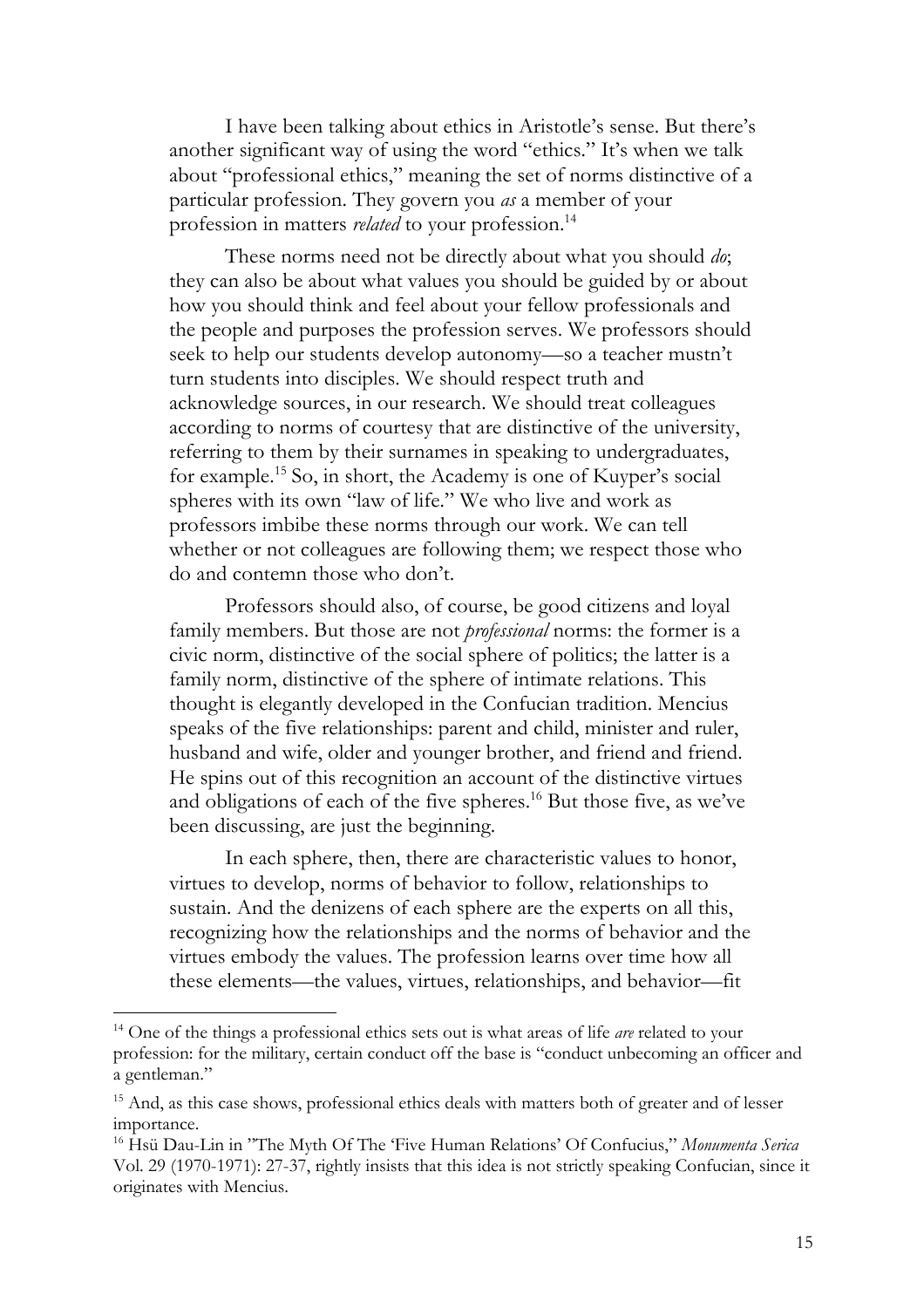I have been talking about ethics in Aristotle's sense. But there's another significant way of using the word "ethics." It's when we talk about "professional ethics," meaning the set of norms distinctive of a particular profession. They govern you *as* a member of your profession in matters *related* to your profession.<sup>14</sup>

These norms need not be directly about what you should *do*; they can also be about what values you should be guided by or about how you should think and feel about your fellow professionals and the people and purposes the profession serves. We professors should seek to help our students develop autonomy—so a teacher mustn't turn students into disciples. We should respect truth and acknowledge sources, in our research. We should treat colleagues according to norms of courtesy that are distinctive of the university, referring to them by their surnames in speaking to undergraduates, for example.15 So, in short, the Academy is one of Kuyper's social spheres with its own "law of life." We who live and work as professors imbibe these norms through our work. We can tell whether or not colleagues are following them; we respect those who do and contemn those who don't.

Professors should also, of course, be good citizens and loyal family members. But those are not *professional* norms: the former is a civic norm, distinctive of the social sphere of politics; the latter is a family norm, distinctive of the sphere of intimate relations. This thought is elegantly developed in the Confucian tradition. Mencius speaks of the five relationships: parent and child, minister and ruler, husband and wife, older and younger brother, and friend and friend. He spins out of this recognition an account of the distinctive virtues and obligations of each of the five spheres.<sup>16</sup> But those five, as we've been discussing, are just the beginning.

In each sphere, then, there are characteristic values to honor, virtues to develop, norms of behavior to follow, relationships to sustain. And the denizens of each sphere are the experts on all this, recognizing how the relationships and the norms of behavior and the virtues embody the values. The profession learns over time how all these elements—the values, virtues, relationships, and behavior—fit

<sup>14</sup> One of the things a professional ethics sets out is what areas of life *are* related to your profession: for the military, certain conduct off the base is "conduct unbecoming an officer and a gentleman."

<sup>&</sup>lt;sup>15</sup> And, as this case shows, professional ethics deals with matters both of greater and of lesser importance.

<sup>16</sup> Hsü Dau-Lin in "The Myth Of The 'Five Human Relations' Of Confucius," *Monumenta Serica* Vol. 29 (1970-1971): 27-37, rightly insists that this idea is not strictly speaking Confucian, since it originates with Mencius.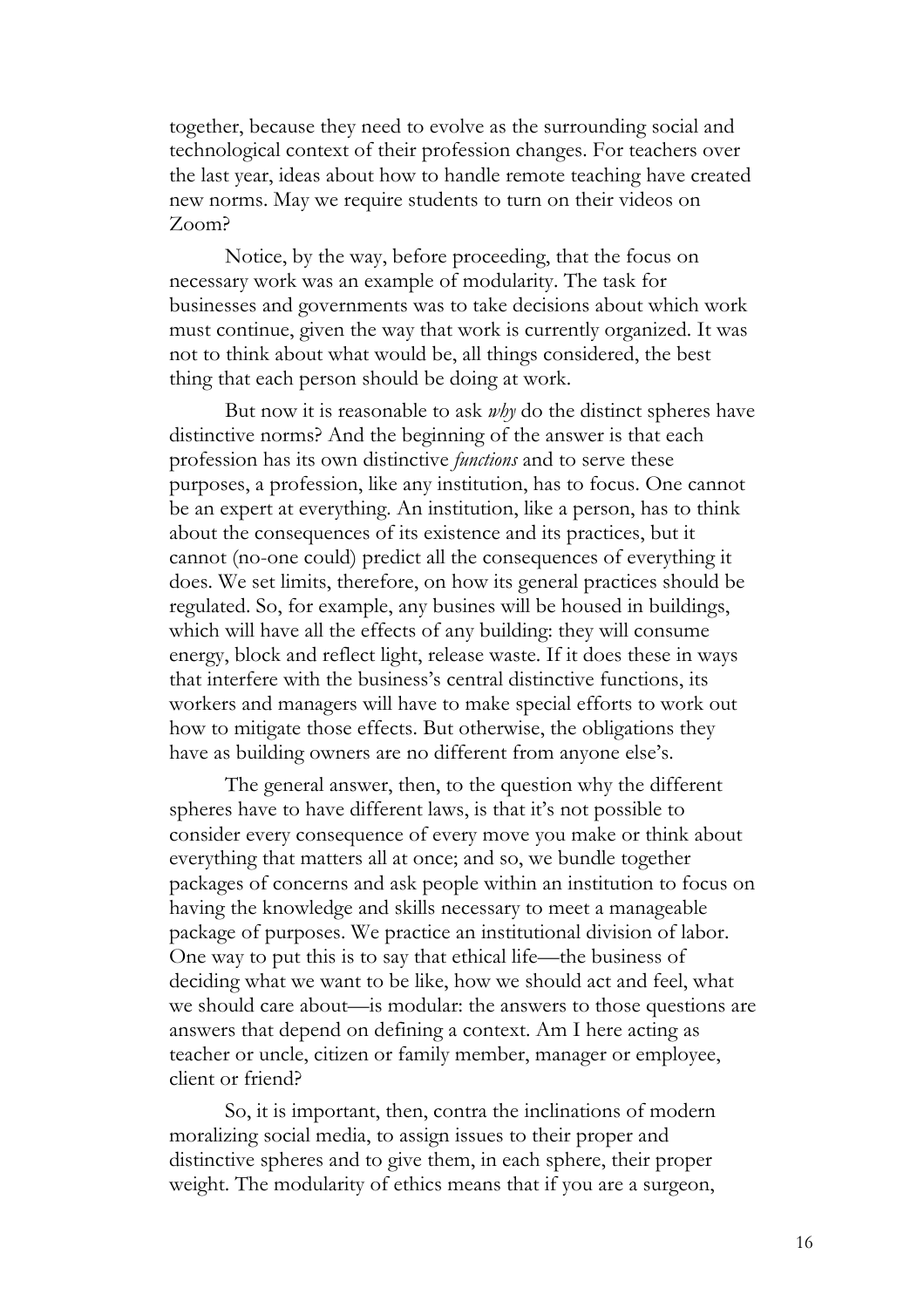together, because they need to evolve as the surrounding social and technological context of their profession changes. For teachers over the last year, ideas about how to handle remote teaching have created new norms. May we require students to turn on their videos on Zoom?

Notice, by the way, before proceeding, that the focus on necessary work was an example of modularity. The task for businesses and governments was to take decisions about which work must continue, given the way that work is currently organized. It was not to think about what would be, all things considered, the best thing that each person should be doing at work.

But now it is reasonable to ask *why* do the distinct spheres have distinctive norms? And the beginning of the answer is that each profession has its own distinctive *functions* and to serve these purposes, a profession, like any institution, has to focus. One cannot be an expert at everything. An institution, like a person, has to think about the consequences of its existence and its practices, but it cannot (no-one could) predict all the consequences of everything it does. We set limits, therefore, on how its general practices should be regulated. So, for example, any busines will be housed in buildings, which will have all the effects of any building: they will consume energy, block and reflect light, release waste. If it does these in ways that interfere with the business's central distinctive functions, its workers and managers will have to make special efforts to work out how to mitigate those effects. But otherwise, the obligations they have as building owners are no different from anyone else's.

The general answer, then, to the question why the different spheres have to have different laws, is that it's not possible to consider every consequence of every move you make or think about everything that matters all at once; and so, we bundle together packages of concerns and ask people within an institution to focus on having the knowledge and skills necessary to meet a manageable package of purposes. We practice an institutional division of labor. One way to put this is to say that ethical life—the business of deciding what we want to be like, how we should act and feel, what we should care about—is modular: the answers to those questions are answers that depend on defining a context. Am I here acting as teacher or uncle, citizen or family member, manager or employee, client or friend?

So, it is important, then, contra the inclinations of modern moralizing social media, to assign issues to their proper and distinctive spheres and to give them, in each sphere, their proper weight. The modularity of ethics means that if you are a surgeon,